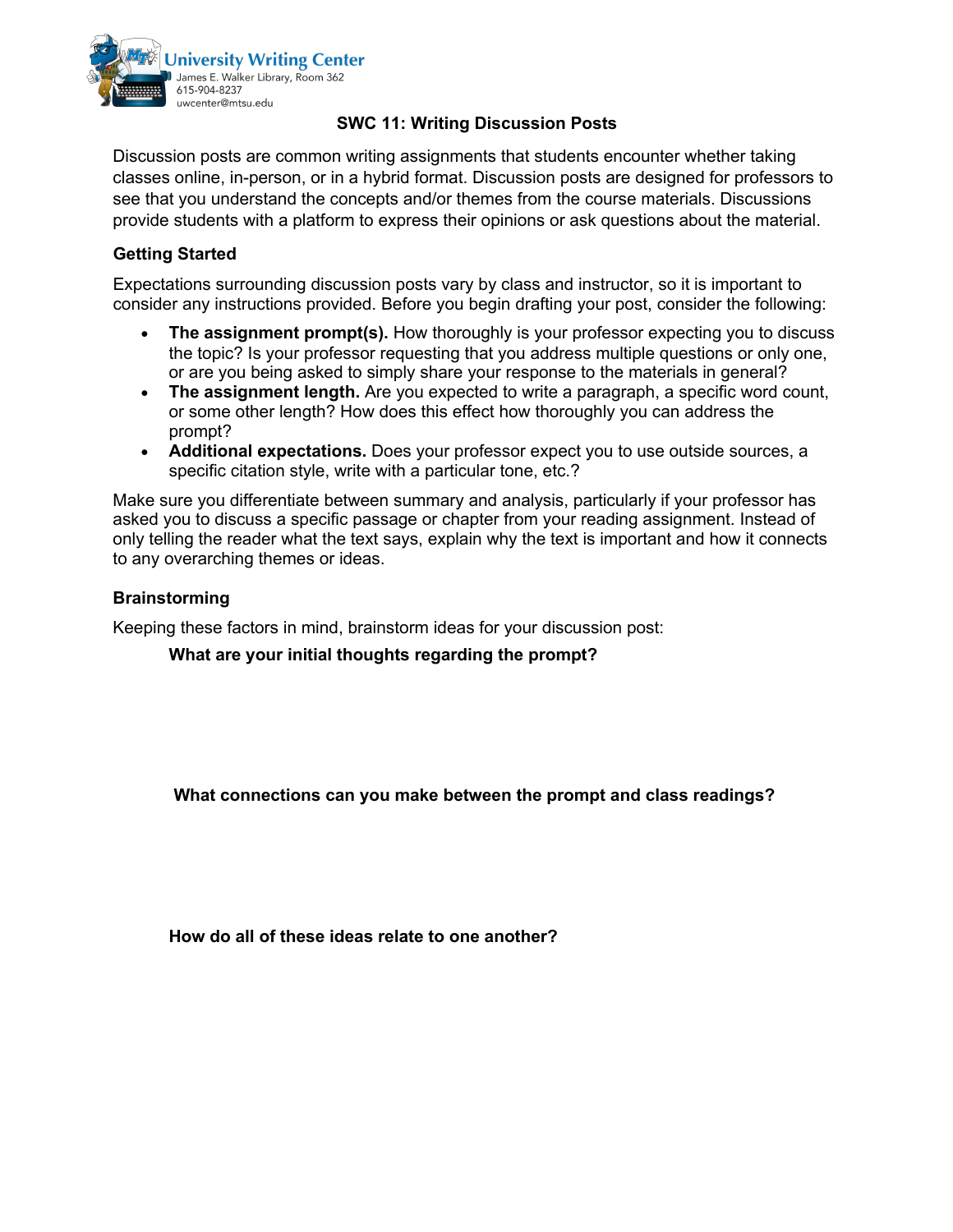

# **SWC 11: Writing Discussion Posts**

Discussion posts are common writing assignments that students encounter whether taking classes online, in-person, or in a hybrid format. Discussion posts are designed for professors to see that you understand the concepts and/or themes from the course materials. Discussions provide students with a platform to express their opinions or ask questions about the material.

# **Getting Started**

Expectations surrounding discussion posts vary by class and instructor, so it is important to consider any instructions provided. Before you begin drafting your post, consider the following:

- The assignment prompt(s). How thoroughly is your professor expecting you to discuss the topic? Is your professor requesting that you address multiple questions or only one, or are you being asked to simply share your response to the materials in general?
- **The assignment length.** Are you expected to write a paragraph, a specific word count, or some other length? How does this effect how thoroughly you can address the prompt?
- **Additional expectations.** Does your professor expect you to use outside sources, a specific citation style, write with a particular tone, etc.?

Make sure you differentiate between summary and analysis, particularly if your professor has asked you to discuss a specific passage or chapter from your reading assignment. Instead of only telling the reader what the text says, explain why the text is important and how it connects to any overarching themes or ideas.

### **Brainstorming**

Keeping these factors in mind, brainstorm ideas for your discussion post:

**What are your initial thoughts regarding the prompt?** 

**What connections can you make between the prompt and class readings?** 

**How do all of these ideas relate to one another?**